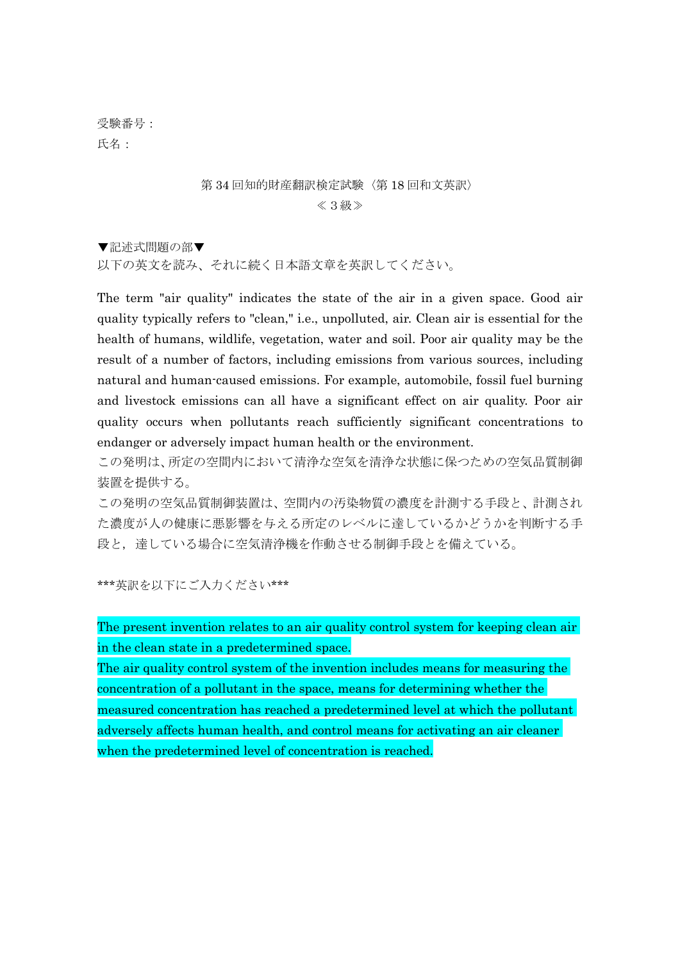受験番号: 氏名:

### 第 34 回知的財産翻訳検定試験〈第 18 回和文英訳〉 ≪3級≫

▼記述式問題の部▼ 以下の英文を読み、それに続く日本語文章を英訳してください。

The term "air quality" indicates the state of the air in a given space. Good air quality typically refers to "clean," i.e., unpolluted, air. Clean air is essential for the health of humans, wildlife, vegetation, water and soil. Poor air quality may be the result of a number of factors, including emissions from various sources, including natural and human-caused emissions. For example, automobile, fossil fuel burning and livestock emissions can all have a significant effect on air quality. Poor air quality occurs when pollutants reach sufficiently significant concentrations to endanger or adversely impact human health or the environment.

この発明は、所定の空間内において清浄な空気を清浄な状態に保つための空気品質制御 装置を提供する。

この発明の空気品質制御装置は、空間内の汚染物質の濃度を計測する手段と、計測され た濃度が人の健康に悪影響を与える所定のレベルに達しているかどうかを判断する手 段と, 達している場合に空気清浄機を作動させる制御手段とを備えている。

\*\*\*英訳を以下にご入力ください\*\*\*

The present invention relates to an air quality control system for keeping clean air in the clean state in a predetermined space.

The air quality control system of the invention includes means for measuring the concentration of a pollutant in the space, means for determining whether the measured concentration has reached a predetermined level at which the pollutant adversely affects human health, and control means for activating an air cleaner when the predetermined level of concentration is reached.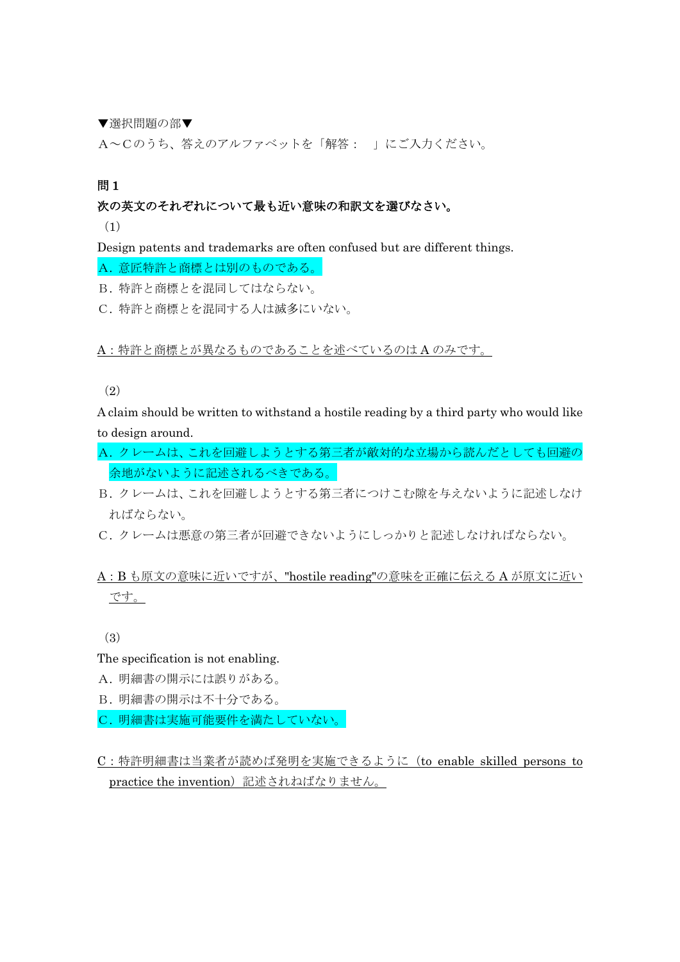▼選択問題の部▼

A~Cのうち、答えのアルファベットを「解答: 」にご入力ください。

問 1

#### 次の英文のそれぞれについて最も近い意味の和訳文を選びなさい。

(1)

Design patents and trademarks are often confused but are different things.

A. 意匠特許と商標とは別のものである。

B. 特許と商標とを混同してはならない。

C. 特許と商標とを混同する人は滅多にいない。

A:特許と商標とが異なるものであることを述べているのは A のみです。

#### (2)

A claim should be written to withstand a hostile reading by a third party who would like to design around.

- A. クレームは、これを回避しようとする第三者が敵対的な立場から読んだとしても回避の 余地がないように記述されるべきである。
- B. クレームは、これを回避しようとする第三者につけこむ隙を与えないように記述しなけ ればならない。
- C. クレームは悪意の第三者が回避できないようにしっかりと記述しなければならない。

## A:B も原文の意味に近いですが、"hostile reading"の意味を正確に伝える A が原文に近い です。

(3)

The specification is not enabling.

- A. 明細書の開示には誤りがある。
- B. 明細書の開示は不十分である。
- C. 明細書は実施可能要件を満たしていない。
- C:特許明細書は当業者が読めば発明を実施できるように(to enable skilled persons to practice the invention)記述されねばなりません。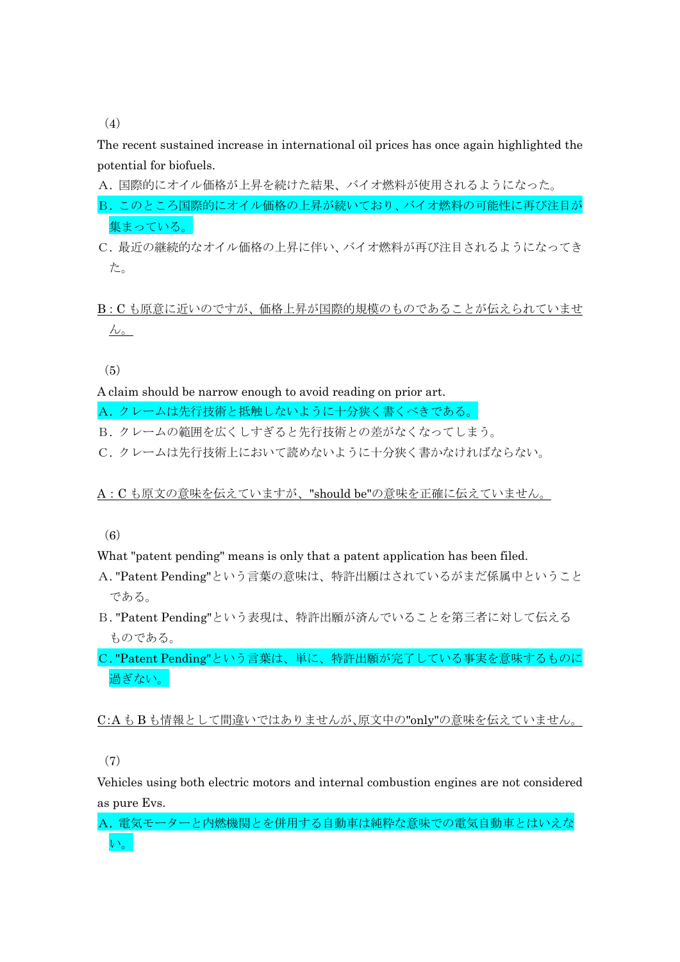(4)

The recent sustained increase in international oil prices has once again highlighted the potential for biofuels.

A. 国際的にオイル価格が上昇を続けた結果、バイオ燃料が使用されるようになった。

B. このところ国際的にオイル価格の上昇が続いており、バイオ燃料の可能性に再び注目が 集まっている。

C. 最近の継続的なオイル価格の上昇に伴い、バイオ燃料が再び注目されるようになってき た。

B:C も原意に近いのですが、価格上昇が国際的規模のものであることが伝えられていませ  $\lambda$ <sub>o</sub>

(5)

A claim should be narrow enough to avoid reading on prior art.

A. クレームは先行技術と抵触しないように十分狭く書くべきである。

B. クレームの範囲を広くしすぎると先行技術との差がなくなってしまう。

C. クレームは先行技術上において読めないように十分狭く書かなければならない。

A:C も原文の意味を伝えていますが、"should be"の意味を正確に伝えていません。

(6)

What "patent pending" means is only that a patent application has been filed.

- A. "Patent Pending"という言葉の意味は、特許出願はされているがまだ係属中ということ である。
- B. "Patent Pending"という表現は、特許出願が済んでいることを第三者に対して伝える ものである。

C. "Patent Pending"という言葉は、単に、特許出願が完了している事実を意味するものに 過ぎない。

C:A も B も情報として間違いではありませんが、原文中の"only"の意味を伝えていません。

(7)

Vehicles using both electric motors and internal combustion engines are not considered as pure Evs.

A. 電気モーターと内燃機関とを併用する自動車は純粋な意味での電気自動車とはいえな い。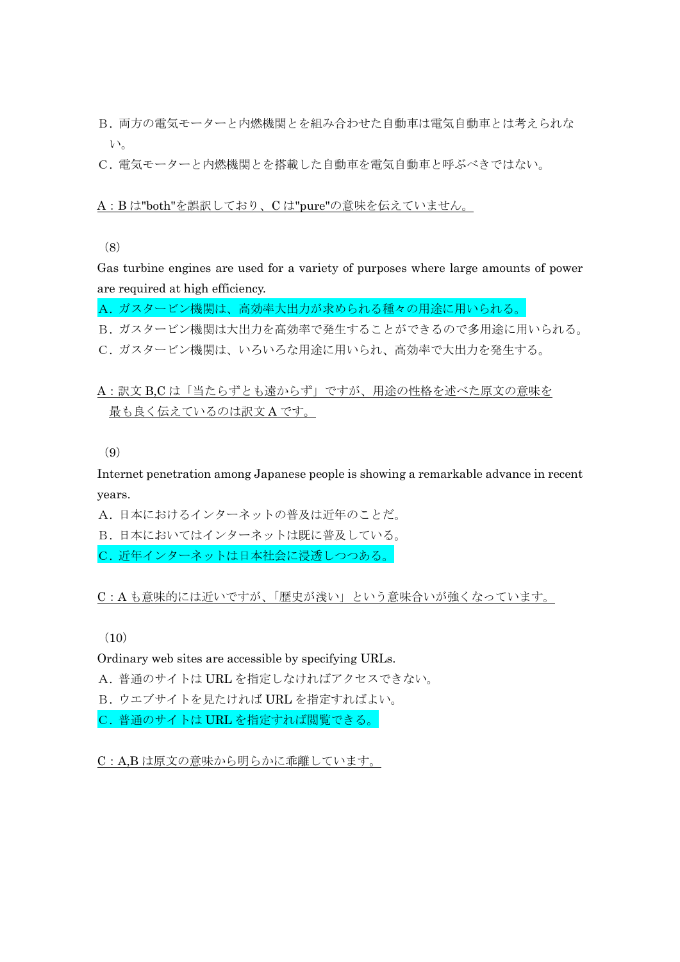B. 両方の電気モーターと内燃機関とを組み合わせた自動車は電気自動車とは考えられな い。

C. 電気モーターと内燃機関とを搭載した自動車を電気自動車と呼ぶべきではない。

#### A:B は"both"を誤訳しており、C は"pure"の意味を伝えていません。

(8)

Gas turbine engines are used for a variety of purposes where large amounts of power are required at high efficiency.

A. ガスタービン機関は、高効率大出力が求められる種々の用途に用いられる。

B. ガスタービン機関は大出力を高効率で発生することができるので多用途に用いられる。

C. ガスタービン機関は、いろいろな用途に用いられ、高効率で大出力を発生する。

A:訳文 B,C は「当たらずとも遠からず」ですが、用途の性格を述べた原文の意味を 最も良く伝えているのは訳文 A です。

(9)

Internet penetration among Japanese people is showing a remarkable advance in recent years.

A. 日本におけるインターネットの普及は近年のことだ。

B. 日本においてはインターネットは既に普及している。

C. 近年インターネットは日本社会に浸透しつつある。

C:A も意味的には近いですが、「歴史が浅い」という意味合いが強くなっています。

 $(10)$ 

Ordinary web sites are accessible by specifying URLs.

A. 普通のサイトは URL を指定しなければアクセスできない。

B. ウエブサイトを見たければ URL を指定すればよい。

C. 普通のサイトは URL を指定すれば閲覧できる。

C:A,B は原文の意味から明らかに乖離しています。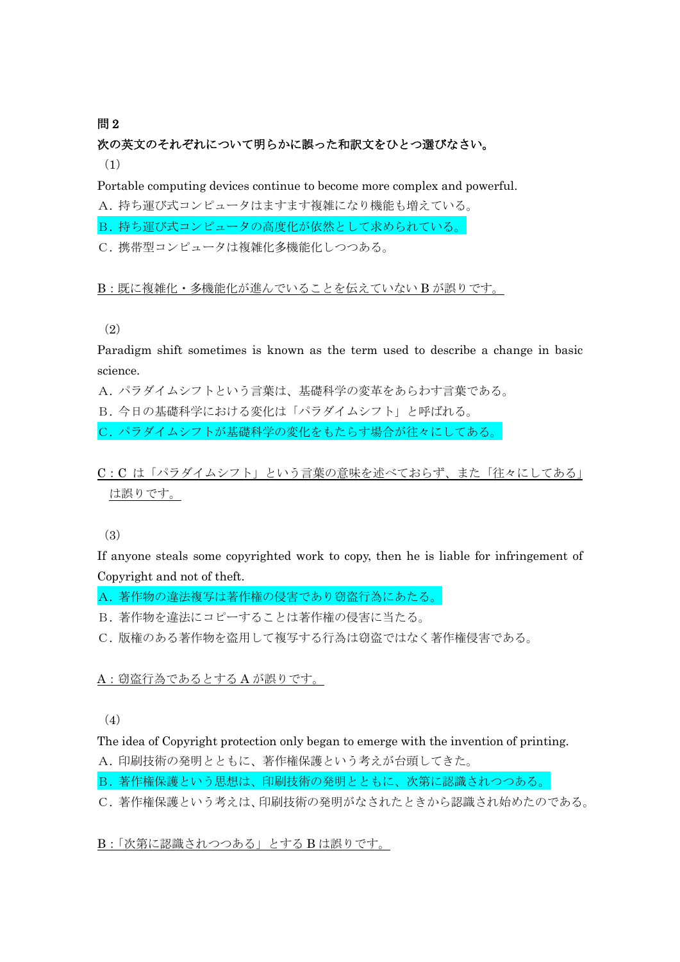#### 間2

# 次の英文のそれぞれについて明らかに誤った和訳文をひとつ選びなさい。

(1)

Portable computing devices continue to become more complex and powerful.

A. 持ち運び式コンピュータはますます複雑になり機能も増えている。

B. 持ち運び式コンピュータの高度化が依然として求められている。

C. 携帯型コンピュータは複雑化多機能化しつつある。

B:既に複雑化・多機能化が進んでいることを伝えていない B が誤りです。

(2)

Paradigm shift sometimes is known as the term used to describe a change in basic science.

A. パラダイムシフトという言葉は、基礎科学の変革をあらわす言葉である。

B. 今日の基礎科学における変化は「パラダイムシフト」と呼ばれる。

C. パラダイムシフトが基礎科学の変化をもたらす場合が往々にしてある。

C:C は「パラダイムシフト」という言葉の意味を述べておらず、また「往々にしてある」 は誤りです。

(3)

If anyone steals some copyrighted work to copy, then he is liable for infringement of Copyright and not of theft.

A. 著作物の違法複写は著作権の侵害であり窃盗行為にあたる。

B. 著作物を違法にコピーすることは著作権の侵害に当たる。

C. 版権のある著作物を盗用して複写する行為は窃盗ではなく著作権侵害である。

A: 窃盗行為であるとする A が誤りです。

(4)

The idea of Copyright protection only began to emerge with the invention of printing.

A. 印刷技術の発明とともに、著作権保護という考えが台頭してきた。

B. 著作権保護という思想は、印刷技術の発明とともに、次第に認識されつつある。

C. 著作権保護という考えは、印刷技術の発明がなされたときから認識され始めたのである。

B:「次第に認識されつつある」とする B は誤りです。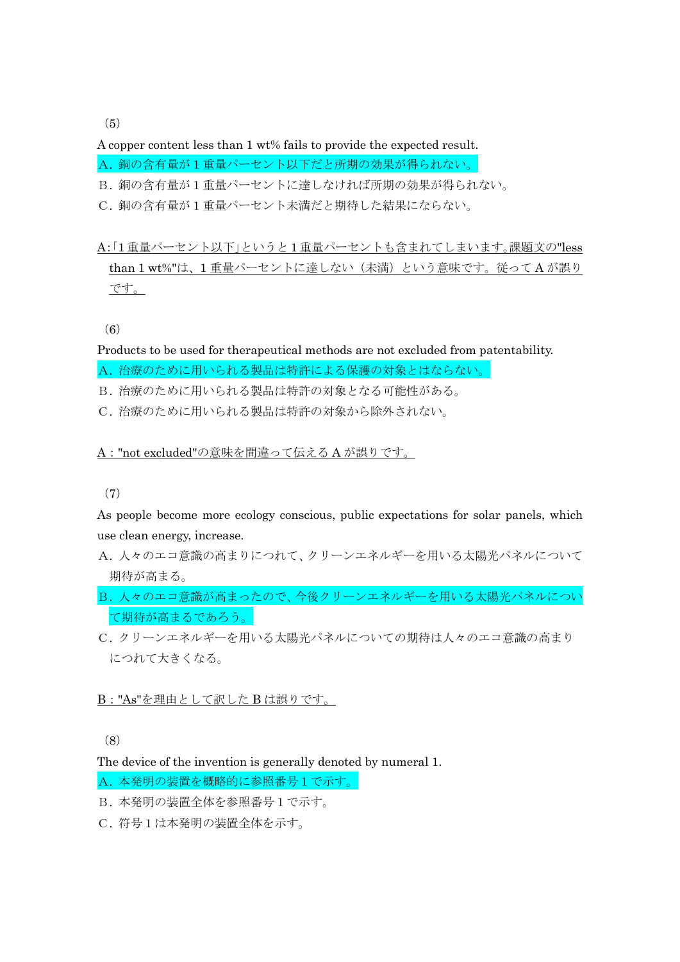$(5)$ 

A copper content less than 1 wt% fails to provide the expected result. A. 銅の含有量が1重量パーセント以下だと所期の効果が得られない。

B. 銅の含有量が1重量パーセントに達しなければ所期の効果が得られない。

C. 銅の含有量が1重量パーセント未満だと期待した結果にならない。

# A:「1重量パーセント以下」というと 1 重量パーセントも含まれてしまいます。課題文の"less than 1 wt%"は、1重量パーセントに達しない(未満)という意味です。従ってA が誤り です。

(6)

Products to be used for therapeutical methods are not excluded from patentability. A. 治療のために用いられる製品は特許による保護の対象とはならない。

B. 治療のために用いられる製品は特許の対象となる可能性がある。

C. 治療のために用いられる製品は特許の対象から除外されない。

A:"not excluded"の意味を間違って伝える A が誤りです。

(7)

As people become more ecology conscious, public expectations for solar panels, which use clean energy, increase.

- A. 人々のエコ意識の高まりにつれて、クリーンエネルギーを用いる太陽光パネルについて 期待が高まる。
- B. 人々のエコ意識が高まったので、今後クリーンエネルギーを用いる太陽光パネルについ て期待が高まるであろう。
- C. クリーンエネルギーを用いる太陽光パネルについての期待は人々のエコ意識の高まり につれて大きくなる。

#### B:"As"を理由として訳した B は誤りです。

(8)

The device of the invention is generally denoted by numeral 1.

A. 本発明の装置を概略的に参照番号1で示す。

B. 本発明の装置全体を参照番号1で示す。

C. 符号1は本発明の装置全体を示す。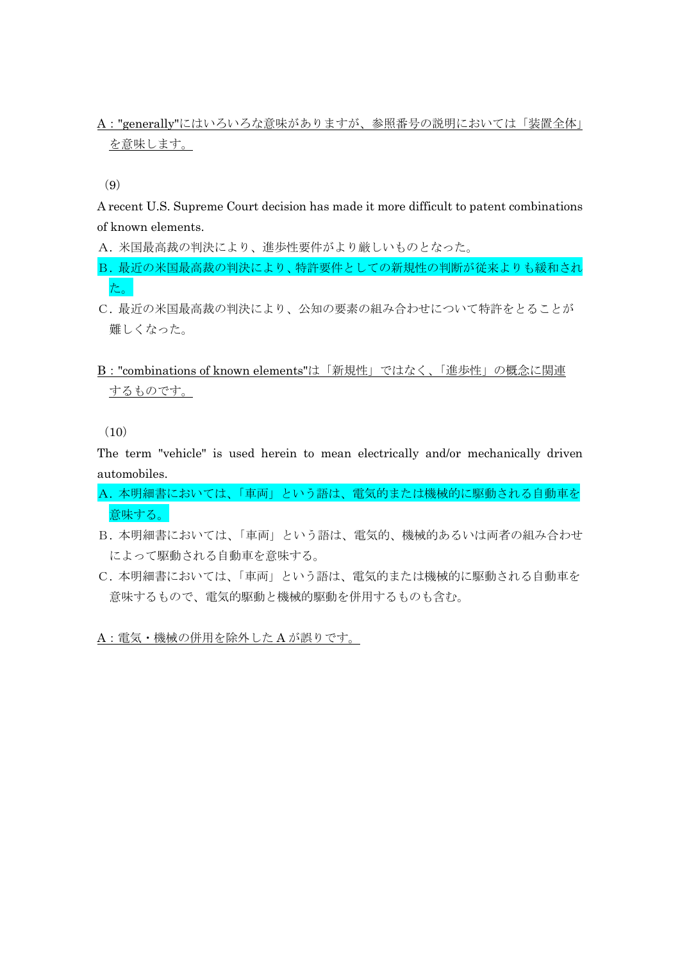## A:"generally"にはいろいろな意味がありますが、参照番号の説明においては「装置全体」 を意味します。

(9)

A recent U.S. Supreme Court decision has made it more difficult to patent combinations of known elements.

A. 米国最高裁の判決により、進歩性要件がより厳しいものとなった。

B. 最近の米国最高裁の判決により、特許要件としての新規性の判断が従来よりも緩和され た。

C. 最近の米国最高裁の判決により、公知の要素の組み合わせについて特許をとることが 難しくなった。

## B:"combinations of known elements"は「新規性」ではなく、「進歩性」の概念に関連 するものです。

 $(10)$ 

The term "vehicle" is used herein to mean electrically and/or mechanically driven automobiles.

- A. 本明細書においては、「車両」という語は、電気的または機械的に駆動される自動車を 意味する。
- B. 本明細書においては、「車両」という語は、電気的、機械的あるいは両者の組み合わせ によって駆動される自動車を意味する。
- C. 本明細書においては、「車両」という語は、電気的または機械的に駆動される自動車を 意味するもので、電気的駆動と機械的駆動を併用するものも含む。

A:電気・機械の併用を除外した A が誤りです。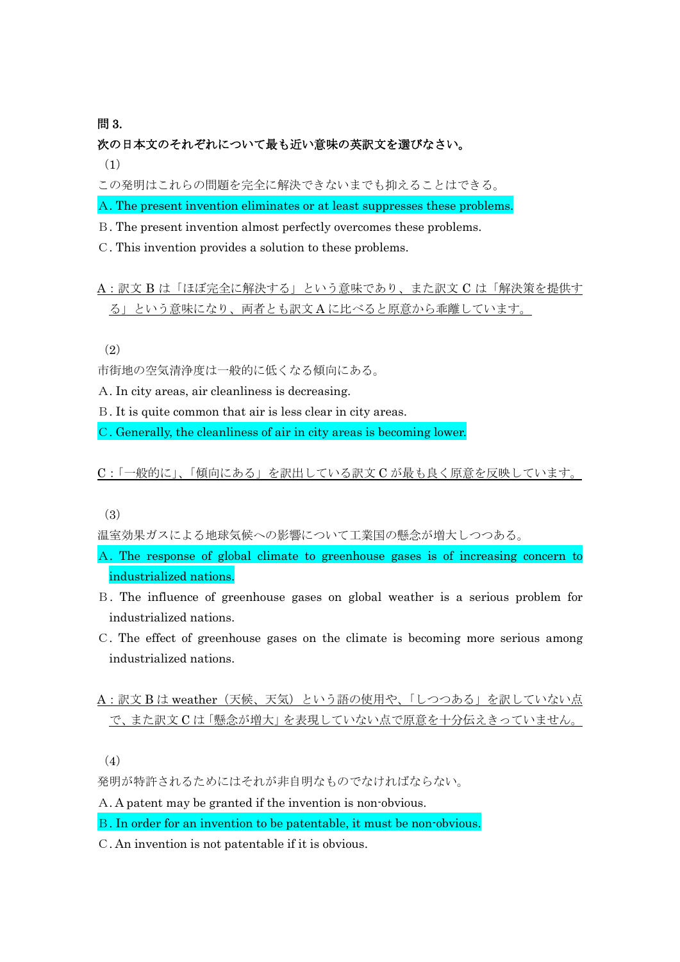#### 問 3.

### 次の日本文のそれぞれについて最も近い意味の英訳文を選びなさい。

(1)

この発明はこれらの問題を完全に解決できないまでも抑えることはできる。

A. The present invention eliminates or at least suppresses these problems.

- B. The present invention almost perfectly overcomes these problems.
- C. This invention provides a solution to these problems.

A:訳文 B は「ほぼ完全に解決する」という意味であり、また訳文 C は「解決策を提供す る」という意味になり、両者とも訳文 A に比べると原意から乖離しています。

(2)

市街地の空気清浄度は一般的に低くなる傾向にある。

A. In city areas, air cleanliness is decreasing.

B. It is quite common that air is less clear in city areas.

C. Generally, the cleanliness of air in city areas is becoming lower.

C:「一般的に」、「傾向にある」を訳出している訳文 C が最も良く原意を反映しています。

(3)

温室効果ガスによる地球気候への影響について工業国の懸念が増大しつつある。

- A. The response of global climate to greenhouse gases is of increasing concern to industrialized nations.
- B. The influence of greenhouse gases on global weather is a serious problem for industrialized nations.
- C. The effect of greenhouse gases on the climate is becoming more serious among industrialized nations.

# A:訳文 B は weather(天候、天気)という語の使用や、「しつつある」を訳していない点 で、また訳文 C は「懸念が増大」を表現していない点で原意を十分伝えきっていません。

(4)

発明が特許されるためにはそれが非自明なものでなければならない。

A. A patent may be granted if the invention is non-obvious.

B. In order for an invention to be patentable, it must be non-obvious.

C. An invention is not patentable if it is obvious.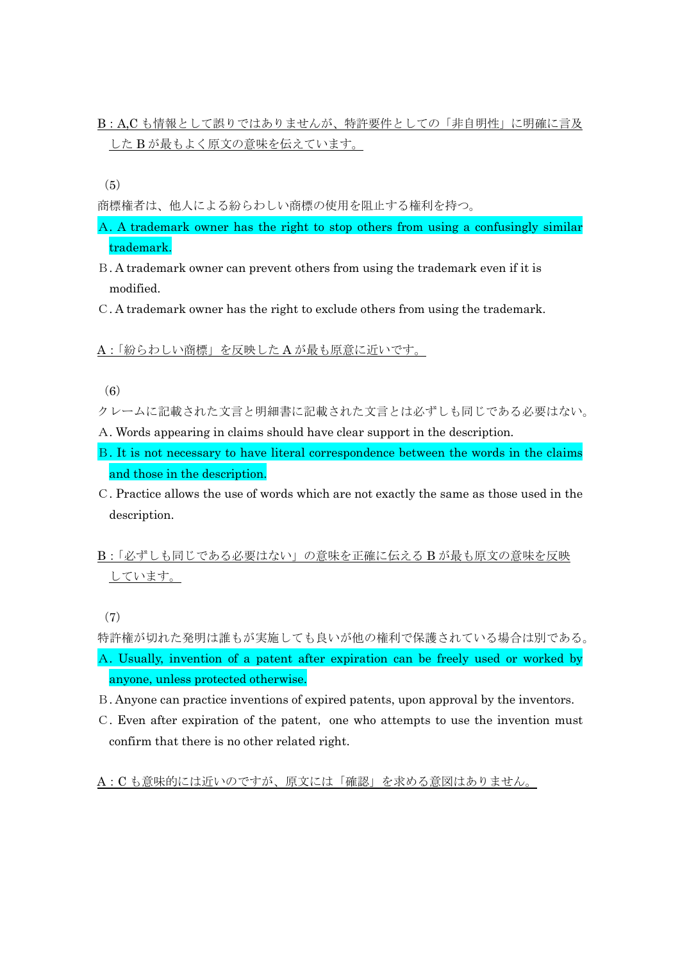B:A,C も情報として誤りではありませんが、特許要件としての「非自明性」に明確に言及 した B が最もよく原文の意味を伝えています。

 $(5)$ 

商標権者は、他人による紛らわしい商標の使用を阻止する権利を持つ。

- A. A trademark owner has the right to stop others from using a confusingly similar trademark.
- B. A trademark owner can prevent others from using the trademark even if it is modified.
- C. A trademark owner has the right to exclude others from using the trademark.

A:「紛らわしい商標」を反映した A が最も原意に近いです。

(6)

クレームに記載された文言と明細書に記載された文言とは必ずしも同じである必要はない。

- A. Words appearing in claims should have clear support in the description.
- B. It is not necessary to have literal correspondence between the words in the claims and those in the description.
- C. Practice allows the use of words which are not exactly the same as those used in the description.
- B:「必ずしも同じである必要はない」の意味を正確に伝える B が最も原文の意味を反映 しています。

(7)

特許権が切れた発明は誰もが実施しても良いが他の権利で保護されている場合は別である。

- A. Usually, invention of a patent after expiration can be freely used or worked by anyone, unless protected otherwise.
- B. Anyone can practice inventions of expired patents, upon approval by the inventors.
- C. Even after expiration of the patent, one who attempts to use the invention must confirm that there is no other related right.

A:C も意味的には近いのですが、原文には「確認」を求める意図はありません。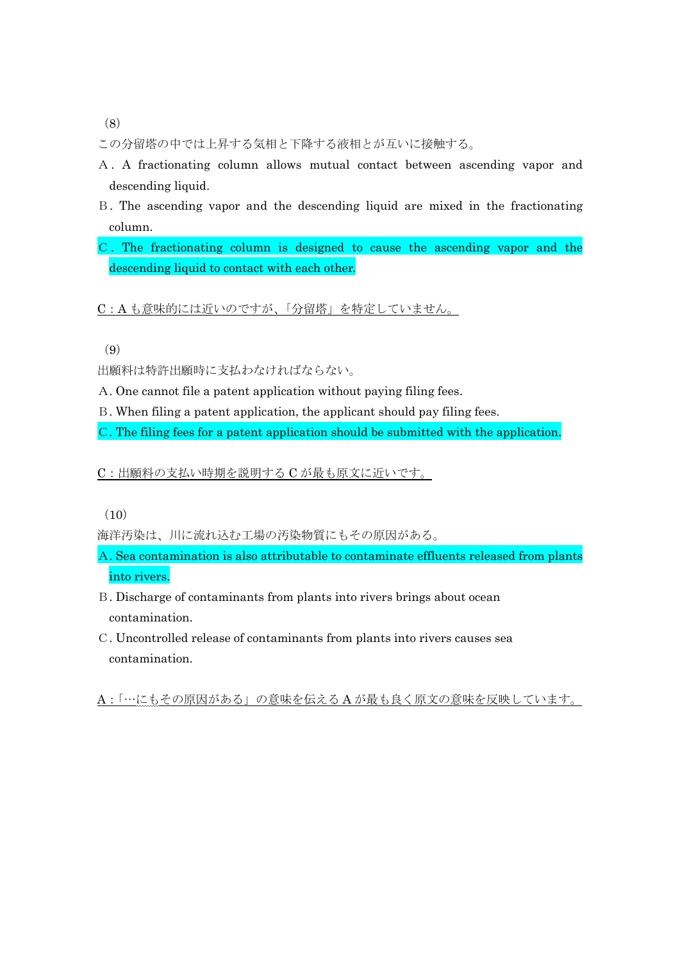(8)

この分留塔の中では上昇する気相と下降する液相とが互いに接触する。

- A. A fractionating column allows mutual contact between ascending vapor and descending liquid.
- B. The ascending vapor and the descending liquid are mixed in the fractionating column.
- C. The fractionating column is designed to cause the ascending vapor and the descending liquid to contact with each other.

C:A も意味的には近いのですが、「分留塔」を特定していません。

(9)

出願料は特許出願時に支払わなければならない。

A. One cannot file a patent application without paying filing fees.

B. When filing a patent application, the applicant should pay filing fees.

C. The filing fees for a patent application should be submitted with the application.

C:出願料の支払い時期を説明する C が最も原文に近いです。

(10)

海洋汚染は、川に流れ込む工場の汚染物質にもその原因がある。

- A. Sea contamination is also attributable to contaminate effluents released from plants into rivers.
- B. Discharge of contaminants from plants into rivers brings about ocean contamination.
- C. Uncontrolled release of contaminants from plants into rivers causes sea contamination.

A:「…にもその原因がある」の意味を伝える A が最も良く原文の意味を反映しています。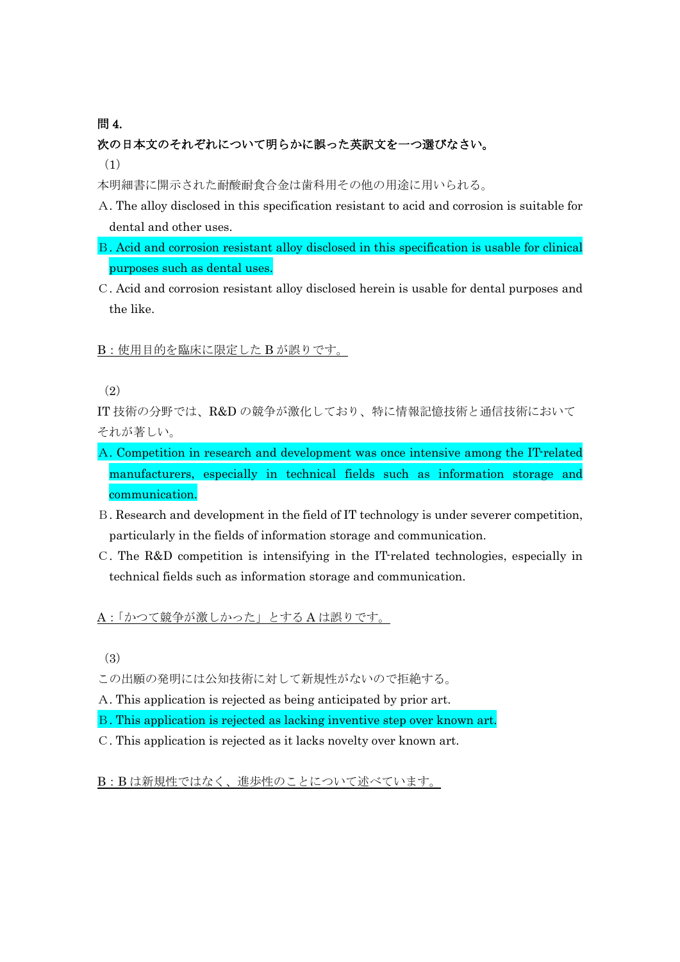### 問 4.

# 次の日本文のそれぞれについて明らかに誤った英訳文を一つ選びなさい。 (1)

- 本明細書に開示された耐酸耐食合金は歯科用その他の用途に用いられる。
- A. The alloy disclosed in this specification resistant to acid and corrosion is suitable for dental and other uses.
- B. Acid and corrosion resistant alloy disclosed in this specification is usable for clinical purposes such as dental uses.
- C. Acid and corrosion resistant alloy disclosed herein is usable for dental purposes and the like.

### B:使用目的を臨床に限定した B が誤りです。

IT 技術の分野では、R&D の競争が激化しており、特に情報記憶技術と通信技術において それが著しい。

- A. Competition in research and development was once intensive among the IT-related manufacturers, especially in technical fields such as information storage and communication.
- B. Research and development in the field of IT technology is under severer competition, particularly in the fields of information storage and communication.
- C. The R&D competition is intensifying in the IT-related technologies, especially in technical fields such as information storage and communication.

A:「かつて競争が激しかった」とする A は誤りです。

(3)

この出願の発明には公知技術に対して新規性がないので拒絶する。

A. This application is rejected as being anticipated by prior art.

- B. This application is rejected as lacking inventive step over known art.
- C. This application is rejected as it lacks novelty over known art.

B:B は新規性ではなく、進歩性のことについて述べています。

<sup>(</sup>2)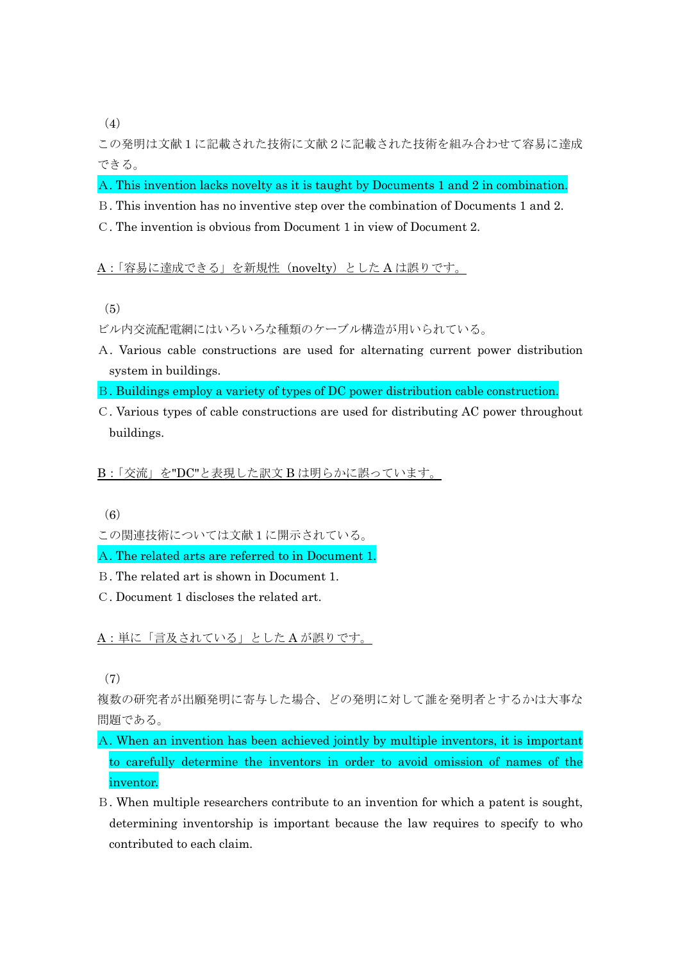(4)

この発明は文献1に記載された技術に文献2に記載された技術を組み合わせて容易に達成 できる。

A. This invention lacks novelty as it is taught by Documents 1 and 2 in combination.

- B. This invention has no inventive step over the combination of Documents 1 and 2.
- C. The invention is obvious from Document 1 in view of Document 2.

#### A:「容易に達成できる」を新規性(novelty)とした A は誤りです。

- (5)
- ビル内交流配電網にはいろいろな種類のケーブル構造が用いられている。
- A. Various cable constructions are used for alternating current power distribution system in buildings.
- B. Buildings employ a variety of types of DC power distribution cable construction.
- C. Various types of cable constructions are used for distributing AC power throughout buildings.

B:「交流」を"DC"と表現した訳文 B は明らかに誤っています。

(6)

- この関連技術については文献1に開示されている。
- A. The related arts are referred to in Document 1.
- B. The related art is shown in Document 1.
- C. Document 1 discloses the related art.

A:単に「言及されている」とした A が誤りです。

(7)

複数の研究者が出願発明に寄与した場合、どの発明に対して誰を発明者とするかは大事な 問題である。

- A. When an invention has been achieved jointly by multiple inventors, it is important to carefully determine the inventors in order to avoid omission of names of the inventor.
- B. When multiple researchers contribute to an invention for which a patent is sought, determining inventorship is important because the law requires to specify to who contributed to each claim.